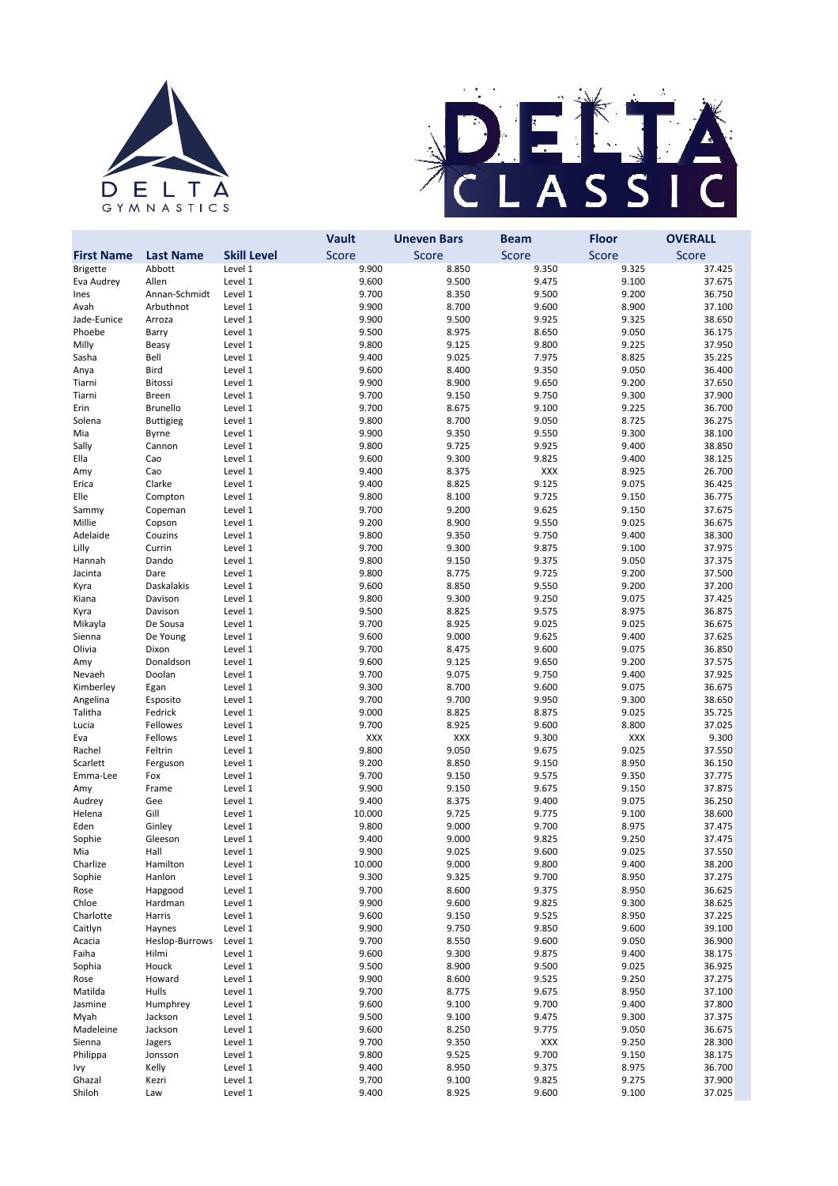



|                      |                   |                    | <b>Vault</b>   | <b>Uneven Bars</b> | <b>Beam</b>    | <b>Floor</b>   | <b>OVERALL</b>   |
|----------------------|-------------------|--------------------|----------------|--------------------|----------------|----------------|------------------|
| <b>First Name</b>    | <b>Last Name</b>  | <b>Skill Level</b> | Score          | Score              | Score          | Score          | Score            |
| <b>Brigette</b>      | Abbott            | Level 1            | 9.900          | 8.850              | 9.350          | 9.325          | 37.425           |
| Eva Audrey           | Allen             | Level 1            | 9.600          | 9.500              | 9.475          | 9.100          | 37.675           |
| Ines                 | Annan-Schmidt     | Level 1            | 9.700          | 8.350              | 9.500          | 9.200          | 36.750           |
| Avah                 | Arbuthnot         | Level 1            | 9.900          | 8.700              | 9.600          | 8.900          | 37.100           |
| Jade-Eunice          | Arroza            | Level 1            | 9.900          | 9.500              | 9.925          | 9.325          | 38.650           |
| Phoebe<br>Milly      | Barry<br>Beasy    | Level 1<br>Level 1 | 9.500<br>9.800 | 8.975<br>9.125     | 8.650<br>9.800 | 9.050<br>9.225 | 36.175<br>37.950 |
| Sasha                | Bell              | Level 1            | 9.400          | 9.025              | 7.975          | 8.825          | 35.225           |
| Anya                 | Bird              | Level 1            | 9.600          | 8.400              | 9.350          | 9.050          | 36.400           |
| Tiarni               | <b>Bitossi</b>    | Level 1            | 9.900          | 8.900              | 9.650          | 9.200          | 37.650           |
| Tiarni               | Breen             | Level 1            | 9.700          | 9.150              | 9.750          | 9.300          | 37.900           |
| Erin                 | Brunello          | Level 1            | 9.700          | 8.675              | 9.100          | 9.225          | 36.700           |
| Solena               | <b>Buttigieg</b>  | Level 1            | 9.800          | 8.700              | 9.050          | 8.725          | 36.275           |
| Mia                  | Byrne             | Level 1            | 9.900          | 9.350              | 9.550          | 9.300          | 38.100           |
| Sally                | Cannon            | Level 1            | 9.800          | 9.725              | 9.925          | 9.400          | 38.850           |
| Ella                 | Cao               | Level 1            | 9.600          | 9.300              | 9.825          | 9.400          | 38.125           |
| Amy                  | Cao               | Level 1            | 9.400          | 8.375              | XXX            | 8.925          | 26.700           |
| Erica<br>Elle        | Clarke<br>Compton | Level 1<br>Level 1 | 9.400<br>9.800 | 8.825<br>8.100     | 9.125<br>9.725 | 9.075<br>9.150 | 36.425<br>36.775 |
| Sammy                | Copeman           | Level 1            | 9.700          | 9.200              | 9.625          | 9.150          | 37.675           |
| Millie               | Copson            | Level 1            | 9.200          | 8.900              | 9.550          | 9.025          | 36.675           |
| Adelaide             | Couzins           | Level 1            | 9.800          | 9.350              | 9.750          | 9.400          | 38.300           |
| Lilly                | Currin            | Level 1            | 9.700          | 9.300              | 9.875          | 9.100          | 37.975           |
| Hannah               | Dando             | Level 1            | 9.800          | 9.150              | 9.375          | 9.050          | 37.375           |
| Jacinta              | Dare              | Level 1            | 9.800          | 8.775              | 9.725          | 9.200          | 37.500           |
| Kyra                 | Daskalakis        | Level 1            | 9.600          | 8.850              | 9.550          | 9.200          | 37.200           |
| Kiana                | Davison           | Level 1            | 9.800          | 9.300              | 9.250          | 9.075          | 37.425           |
| Kyra                 | Davison           | Level 1            | 9.500          | 8.825              | 9.575          | 8.975          | 36.875           |
| Mikayla              | De Sousa          | Level 1            | 9.700          | 8.925              | 9.025          | 9.025          | 36.675           |
| Sienna<br>Olivia     | De Young<br>Dixon | Level 1<br>Level 1 | 9.600<br>9.700 | 9.000<br>8.475     | 9.625<br>9.600 | 9.400<br>9.075 | 37.625<br>36.850 |
| Amy                  | Donaldson         | Level 1            | 9.600          | 9.125              | 9.650          | 9.200          | 37.575           |
| Nevaeh               | Doolan            | Level 1            | 9.700          | 9.075              | 9.750          | 9.400          | 37.925           |
| Kimberley            | Egan              | Level 1            | 9.300          | 8.700              | 9.600          | 9.075          | 36.675           |
| Angelina             | Esposito          | Level 1            | 9.700          | 9.700              | 9.950          | 9.300          | 38.650           |
| Talitha              | Fedrick           | Level 1            | 9.000          | 8.825              | 8.875          | 9.025          | 35.725           |
| Lucia                | Fellowes          | Level 1            | 9.700          | 8.925              | 9.600          | 8.800          | 37.025           |
| Eva                  | Fellows           | Level 1            | <b>XXX</b>     | XXX                | 9.300          | <b>XXX</b>     | 9.300            |
| Rachel               | Feltrin           | Level 1            | 9.800          | 9.050              | 9.675          | 9.025          | 37.550           |
| Scarlett             | Ferguson          | Level 1            | 9.200          | 8.850              | 9.150          | 8.950          | 36.150           |
| Emma-Lee             | Fox<br>Frame      | Level 1<br>Level 1 | 9.700<br>9.900 | 9.150<br>9.150     | 9.575<br>9.675 | 9.350<br>9.150 | 37.775<br>37.875 |
| Amy<br>Audrey        | Gee               | Level 1            | 9.400          | 8.375              | 9.400          | 9.075          | 36.250           |
| Helena               | Gill              | Level 1            | 10.000         | 9.725              | 9.775          | 9.100          | 38.600           |
| Eden                 | Ginley            | Level 1            | 9.800          | 9.000              | 9.700          | 8.975          | 37.475           |
| Sophie               | Gleeson           | Level 1            | 9.400          | 9.000              | 9.825          | 9.250          | 37.475           |
| Mia                  | Hall              | Level 1            | 9.900          | 9.025              | 9.600          | 9.025          | 37.550           |
| Charlize             | Hamilton          | Level 1            | 10.000         | 9.000              | 9.800          | 9.400          | 38.200           |
| Sophie               | Hanlon            | Level 1            | 9.300          | 9.325              | 9.700          | 8.950          | 37.275           |
| Rose                 | Hapgood           | Level 1            | 9.700          | 8.600              | 9.375          | 8.950          | 36.625           |
| Chloe                | Hardman           | Level 1            | 9.900          | 9.600              | 9.825          | 9.300          | 38.625           |
| Charlotte<br>Caitlyn | Harris<br>Haynes  | Level 1<br>Level 1 | 9.600<br>9.900 | 9.150              | 9.525<br>9.850 | 8.950<br>9.600 | 37.225<br>39.100 |
| Acacia               | Heslop-Burrows    | Level 1            | 9.700          | 9.750<br>8.550     | 9.600          | 9.050          | 36.900           |
| Faiha                | Hilmi             | Level 1            | 9.600          | 9.300              | 9.875          | 9.400          | 38.175           |
| Sophia               | Houck             | Level 1            | 9.500          | 8.900              | 9.500          | 9.025          | 36.925           |
| Rose                 | Howard            | Level 1            | 9.900          | 8.600              | 9.525          | 9.250          | 37.275           |
| Matilda              | Hulls             | Level 1            | 9.700          | 8.775              | 9.675          | 8.950          | 37.100           |
| Jasmine              | Humphrey          | Level 1            | 9.600          | 9.100              | 9.700          | 9.400          | 37.800           |
| Myah                 | Jackson           | Level 1            | 9.500          | 9.100              | 9.475          | 9.300          | 37.375           |
| Madeleine            | Jackson           | Level 1            | 9.600          | 8.250              | 9.775          | 9.050          | 36.675           |
| Sienna               | Jagers            | Level 1            | 9.700          | 9.350              | XXX            | 9.250          | 28.300           |
| Philippa             | Jonsson           | Level 1            | 9.800          | 9.525              | 9.700          | 9.150          | 38.175           |
| Ivy<br>Ghazal        | Kelly             | Level 1<br>Level 1 | 9.400<br>9.700 | 8.950              | 9.375<br>9.825 | 8.975<br>9.275 | 36.700<br>37.900 |
| Shiloh               | Kezri<br>Law      | Level 1            | 9.400          | 9.100<br>8.925     | 9.600          | 9.100          | 37.025           |
|                      |                   |                    |                |                    |                |                |                  |